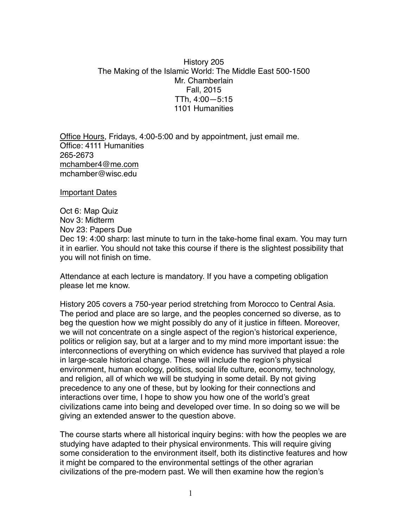## History 205 The Making of the Islamic World: The Middle East 500-1500 Mr. Chamberlain Fall, 2015 TTh, 4:00—5:15 1101 Humanities

Office Hours, Fridays, 4:00-5:00 and by appointment, just email me. Office: 4111 Humanities 265-2673 [mchamber4@me.com](mailto:mchamber4@me.com) mchamber@wisc.edu

Important Dates

Oct 6: Map Quiz Nov 3: Midterm Nov 23: Papers Due Dec 19: 4:00 sharp: last minute to turn in the take-home final exam. You may turn it in earlier. You should not take this course if there is the slightest possibility that you will not finish on time.

Attendance at each lecture is mandatory. If you have a competing obligation please let me know.

History 205 covers a 750-year period stretching from Morocco to Central Asia. The period and place are so large, and the peoples concerned so diverse, as to beg the question how we might possibly do any of it justice in fifteen. Moreover, we will not concentrate on a single aspect of the region's historical experience, politics or religion say, but at a larger and to my mind more important issue: the interconnections of everything on which evidence has survived that played a role in large-scale historical change. These will include the region's physical environment, human ecology, politics, social life culture, economy, technology, and religion, all of which we will be studying in some detail. By not giving precedence to any one of these, but by looking for their connections and interactions over time, I hope to show you how one of the world's great civilizations came into being and developed over time. In so doing so we will be giving an extended answer to the question above.

The course starts where all historical inquiry begins: with how the peoples we are studying have adapted to their physical environments. This will require giving some consideration to the environment itself, both its distinctive features and how it might be compared to the environmental settings of the other agrarian civilizations of the pre-modern past. We will then examine how the region's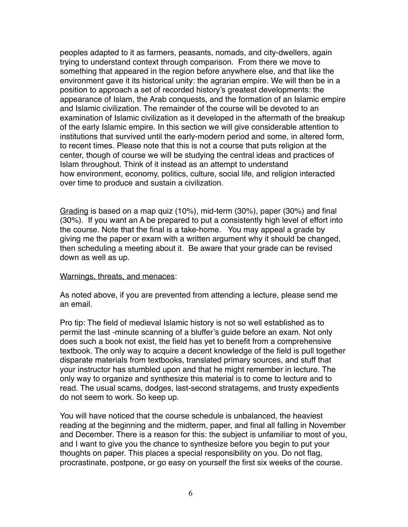peoples adapted to it as farmers, peasants, nomads, and city-dwellers, again trying to understand context through comparison. From there we move to something that appeared in the region before anywhere else, and that like the environment gave it its historical unity: the agrarian empire. We will then be in a position to approach a set of recorded history's greatest developments: the appearance of Islam, the Arab conquests, and the formation of an Islamic empire and Islamic civilization. The remainder of the course will be devoted to an examination of Islamic civilization as it developed in the aftermath of the breakup of the early Islamic empire. In this section we will give considerable attention to institutions that survived until the early-modern period and some, in altered form, to recent times. Please note that this is not a course that puts religion at the center, though of course we will be studying the central ideas and practices of Islam throughout. Think of it instead as an attempt to understand how environment, economy, politics, culture, social life, and religion interacted over time to produce and sustain a civilization.

Grading is based on a map quiz (10%), mid-term (30%), paper (30%) and final (30%). If you want an A be prepared to put a consistently high level of effort into the course. Note that the final is a take-home. You may appeal a grade by giving me the paper or exam with a written argument why it should be changed, then scheduling a meeting about it. Be aware that your grade can be revised down as well as up.

## Warnings, threats, and menaces:

As noted above, if you are prevented from attending a lecture, please send me an email.

Pro tip: The field of medieval Islamic history is not so well established as to permit the last -minute scanning of a bluffer's guide before an exam. Not only does such a book not exist, the field has yet to benefit from a comprehensive textbook. The only way to acquire a decent knowledge of the field is pull together disparate materials from textbooks, translated primary sources, and stuff that your instructor has stumbled upon and that he might remember in lecture. The only way to organize and synthesize this material is to come to lecture and to read. The usual scams, dodges, last-second stratagems, and trusty expedients do not seem to work. So keep up.

You will have noticed that the course schedule is unbalanced, the heaviest reading at the beginning and the midterm, paper, and final all falling in November and December. There is a reason for this: the subject is unfamiliar to most of you, and I want to give you the chance to synthesize before you begin to put your thoughts on paper. This places a special responsibility on you. Do not flag, procrastinate, postpone, or go easy on yourself the first six weeks of the course.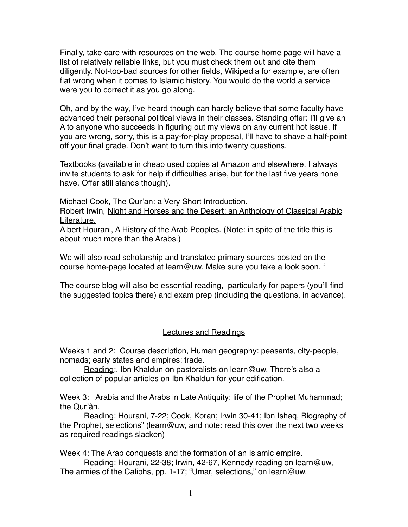Finally, take care with resources on the web. The course home page will have a list of relatively reliable links, but you must check them out and cite them diligently. Not-too-bad sources for other fields, Wikipedia for example, are often flat wrong when it comes to Islamic history. You would do the world a service were you to correct it as you go along.

Oh, and by the way, I've heard though can hardly believe that some faculty have advanced their personal political views in their classes. Standing offer: I'll give an A to anyone who succeeds in figuring out my views on any current hot issue. If you are wrong, sorry, this is a pay-for-play proposal, I'll have to shave a half-point off your final grade. Don't want to turn this into twenty questions.

Textbooks (available in cheap used copies at Amazon and elsewhere. I always invite students to ask for help if difficulties arise, but for the last five years none have. Offer still stands though).

Michael Cook, The Qur'an: a Very Short Introduction.

Robert Irwin, Night and Horses and the Desert: an Anthology of Classical Arabic Literature.

Albert Hourani, A History of the Arab Peoples. (Note: in spite of the title this is about much more than the Arabs.)

We will also read scholarship and translated primary sources posted on the course home-page located at learn@uw. Make sure you take a look soon. '

The course blog will also be essential reading, particularly for papers (you'll find the suggested topics there) and exam prep (including the questions, in advance).

## Lectures and Readings

Weeks 1 and 2: Course description, Human geography: peasants, city-people, nomads; early states and empires; trade.

Reading:, Ibn Khaldun on pastoralists on learn@uw. There's also a collection of popular articles on Ibn Khaldun for your edification.

Week 3: Arabia and the Arabs in Late Antiquity; life of the Prophet Muhammad; the Qur'ân.

Reading: Hourani, 7-22; Cook, Koran; Irwin 30-41; Ibn Ishaq, Biography of the Prophet, selections" (learn@uw, and note: read this over the next two weeks as required readings slacken)

Week 4: The Arab conquests and the formation of an Islamic empire.

Reading: Hourani, 22-38; Irwin, 42-67, Kennedy reading on learn@uw, The armies of the Caliphs, pp. 1-17; "Umar, selections," on learn@uw.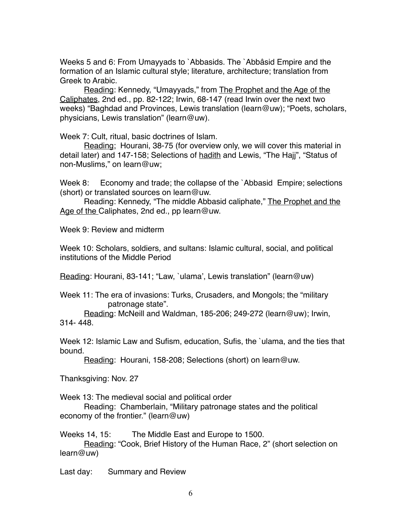Weeks 5 and 6: From Umayyads to `Abbasids. The `Abbâsid Empire and the formation of an Islamic cultural style; literature, architecture; translation from Greek to Arabic.

Reading: Kennedy, "Umayyads," from The Prophet and the Age of the Caliphates, 2nd ed., pp. 82-122; Irwin, 68-147 (read Irwin over the next two weeks) "Baghdad and Provinces, Lewis translation (learn@uw); "Poets, scholars, physicians, Lewis translation" (learn@uw).

Week 7: Cult, ritual, basic doctrines of Islam.

Reading; Hourani, 38-75 (for overview only, we will cover this material in detail later) and 147-158; Selections of hadith and Lewis, "The Hajj", "Status of non-Muslims," on learn@uw;

Week 8: Economy and trade; the collapse of the `Abbasid Empire; selections (short) or translated sources on learn@uw.

Reading: Kennedy, "The middle Abbasid caliphate," The Prophet and the Age of the Caliphates, 2nd ed., pp learn@uw.

Week 9: Review and midterm

Week 10: Scholars, soldiers, and sultans: Islamic cultural, social, and political institutions of the Middle Period

Reading: Hourani, 83-141; "Law, `ulama', Lewis translation" (learn@uw)

Week 11: The era of invasions: Turks, Crusaders, and Mongols; the "military patronage state".

Reading: McNeill and Waldman, 185-206; 249-272 (learn@uw); Irwin, 314- 448.

Week 12: Islamic Law and Sufism, education, Sufis, the `ulama, and the ties that bound.

Reading: Hourani, 158-208; Selections (short) on learn@uw.

Thanksgiving: Nov. 27

Week 13: The medieval social and political order

Reading: Chamberlain, "Military patronage states and the political economy of the frontier." (learn@uw)

Weeks 14, 15: The Middle East and Europe to 1500.

Reading: "Cook, Brief History of the Human Race, 2" (short selection on learn@uw)

Last day: Summary and Review